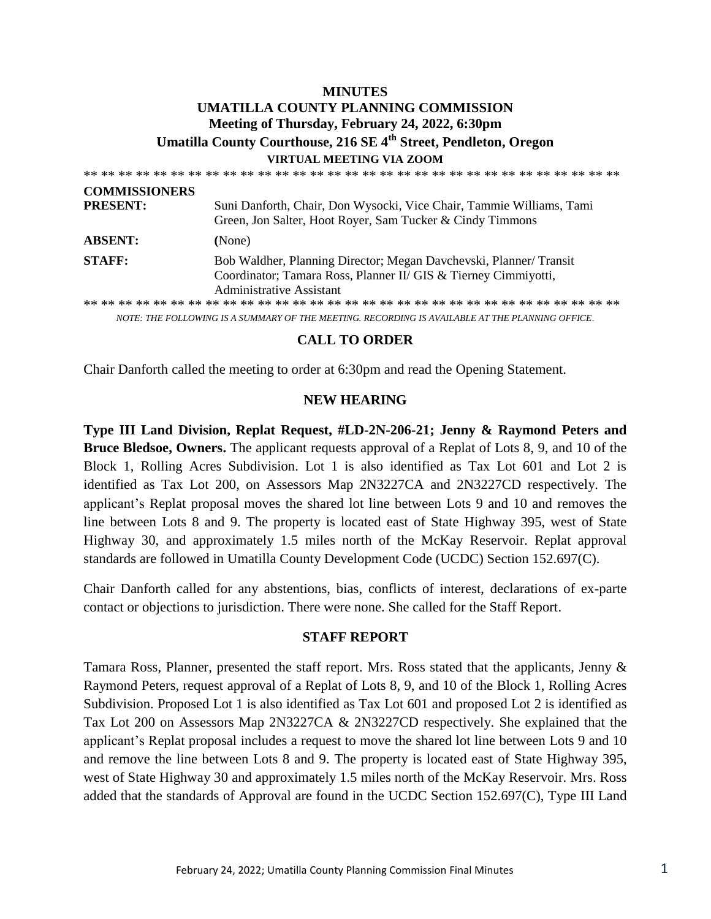# **MINUTES UMATILLA COUNTY PLANNING COMMISSION Meeting of Thursday, February 24, 2022, 6:30pm Umatilla County Courthouse, 216 SE 4th Street, Pendleton, Oregon VIRTUAL MEETING VIA ZOOM**

| <b>COMMISSIONERS</b> |                                                                                                                                                                  |
|----------------------|------------------------------------------------------------------------------------------------------------------------------------------------------------------|
| <b>PRESENT:</b>      | Suni Danforth, Chair, Don Wysocki, Vice Chair, Tammie Williams, Tami<br>Green, Jon Salter, Hoot Royer, Sam Tucker & Cindy Timmons                                |
| <b>ABSENT:</b>       | (None)                                                                                                                                                           |
| <b>STAFF:</b>        | Bob Waldher, Planning Director; Megan Davchevski, Planner/Transit<br>Coordinator; Tamara Ross, Planner II/ GIS & Tierney Cimmiyotti,<br>Administrative Assistant |
|                      |                                                                                                                                                                  |
|                      | NOTE: THE FOLLOWING IS A SUMMARY OF THE MEETING. RECORDING IS AVAILABLE AT THE PLANNING OFFICE.                                                                  |

#### **CALL TO ORDER**

Chair Danforth called the meeting to order at 6:30pm and read the Opening Statement.

#### **NEW HEARING**

**Type III Land Division, Replat Request, #LD-2N-206-21; Jenny & Raymond Peters and Bruce Bledsoe, Owners.** The applicant requests approval of a Replat of Lots 8, 9, and 10 of the Block 1, Rolling Acres Subdivision. Lot 1 is also identified as Tax Lot 601 and Lot 2 is identified as Tax Lot 200, on Assessors Map 2N3227CA and 2N3227CD respectively. The applicant's Replat proposal moves the shared lot line between Lots 9 and 10 and removes the line between Lots 8 and 9. The property is located east of State Highway 395, west of State Highway 30, and approximately 1.5 miles north of the McKay Reservoir. Replat approval standards are followed in Umatilla County Development Code (UCDC) Section 152.697(C).

Chair Danforth called for any abstentions, bias, conflicts of interest, declarations of ex-parte contact or objections to jurisdiction. There were none. She called for the Staff Report.

#### **STAFF REPORT**

Tamara Ross, Planner, presented the staff report. Mrs. Ross stated that the applicants, Jenny & Raymond Peters, request approval of a Replat of Lots 8, 9, and 10 of the Block 1, Rolling Acres Subdivision. Proposed Lot 1 is also identified as Tax Lot 601 and proposed Lot 2 is identified as Tax Lot 200 on Assessors Map 2N3227CA & 2N3227CD respectively. She explained that the applicant's Replat proposal includes a request to move the shared lot line between Lots 9 and 10 and remove the line between Lots 8 and 9. The property is located east of State Highway 395, west of State Highway 30 and approximately 1.5 miles north of the McKay Reservoir. Mrs. Ross added that the standards of Approval are found in the UCDC Section 152.697(C), Type III Land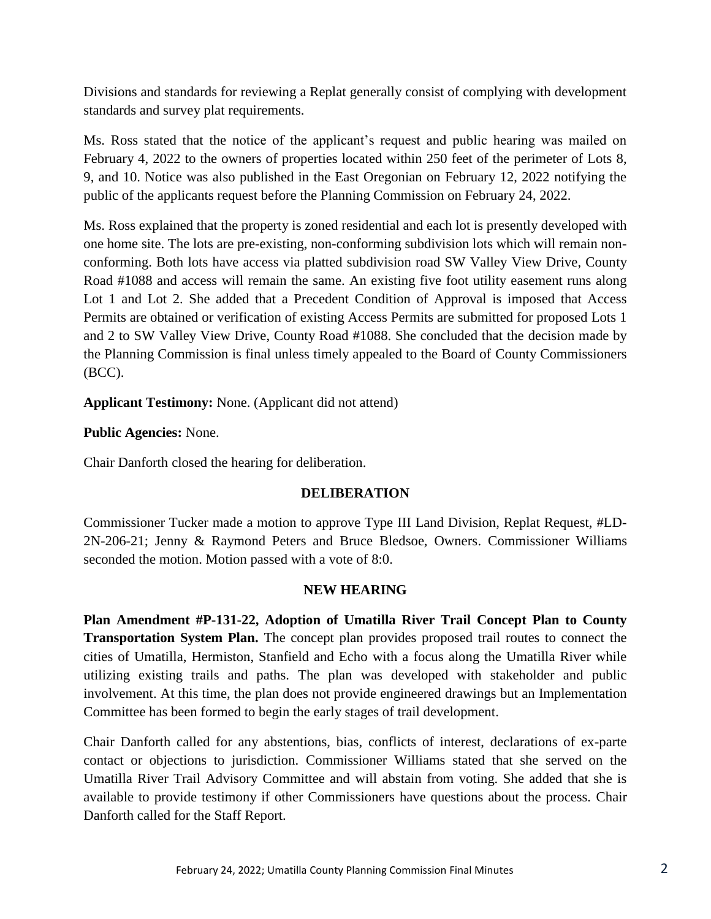Divisions and standards for reviewing a Replat generally consist of complying with development standards and survey plat requirements.

Ms. Ross stated that the notice of the applicant's request and public hearing was mailed on February 4, 2022 to the owners of properties located within 250 feet of the perimeter of Lots 8, 9, and 10. Notice was also published in the East Oregonian on February 12, 2022 notifying the public of the applicants request before the Planning Commission on February 24, 2022.

Ms. Ross explained that the property is zoned residential and each lot is presently developed with one home site. The lots are pre-existing, non-conforming subdivision lots which will remain nonconforming. Both lots have access via platted subdivision road SW Valley View Drive, County Road #1088 and access will remain the same. An existing five foot utility easement runs along Lot 1 and Lot 2. She added that a Precedent Condition of Approval is imposed that Access Permits are obtained or verification of existing Access Permits are submitted for proposed Lots 1 and 2 to SW Valley View Drive, County Road #1088. She concluded that the decision made by the Planning Commission is final unless timely appealed to the Board of County Commissioners (BCC).

**Applicant Testimony:** None. (Applicant did not attend)

# **Public Agencies:** None.

Chair Danforth closed the hearing for deliberation.

## **DELIBERATION**

Commissioner Tucker made a motion to approve Type III Land Division, Replat Request, #LD-2N-206-21; Jenny & Raymond Peters and Bruce Bledsoe, Owners. Commissioner Williams seconded the motion. Motion passed with a vote of 8:0.

## **NEW HEARING**

**Plan Amendment #P-131-22, Adoption of Umatilla River Trail Concept Plan to County Transportation System Plan.** The concept plan provides proposed trail routes to connect the cities of Umatilla, Hermiston, Stanfield and Echo with a focus along the Umatilla River while utilizing existing trails and paths. The plan was developed with stakeholder and public involvement. At this time, the plan does not provide engineered drawings but an Implementation Committee has been formed to begin the early stages of trail development.

Chair Danforth called for any abstentions, bias, conflicts of interest, declarations of ex-parte contact or objections to jurisdiction. Commissioner Williams stated that she served on the Umatilla River Trail Advisory Committee and will abstain from voting. She added that she is available to provide testimony if other Commissioners have questions about the process. Chair Danforth called for the Staff Report.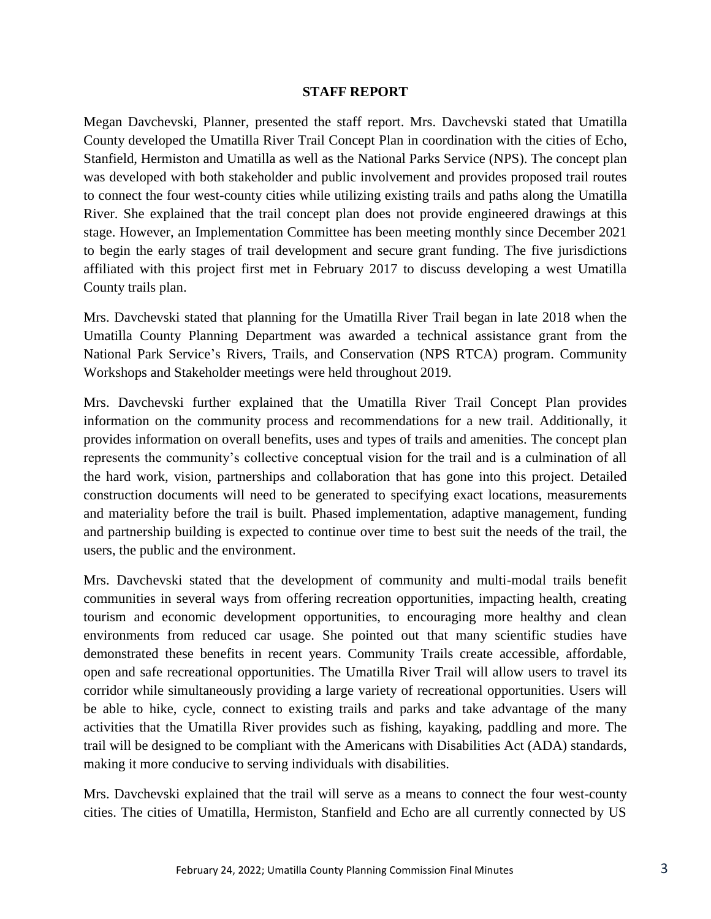### **STAFF REPORT**

Megan Davchevski, Planner, presented the staff report. Mrs. Davchevski stated that Umatilla County developed the Umatilla River Trail Concept Plan in coordination with the cities of Echo, Stanfield, Hermiston and Umatilla as well as the National Parks Service (NPS). The concept plan was developed with both stakeholder and public involvement and provides proposed trail routes to connect the four west-county cities while utilizing existing trails and paths along the Umatilla River. She explained that the trail concept plan does not provide engineered drawings at this stage. However, an Implementation Committee has been meeting monthly since December 2021 to begin the early stages of trail development and secure grant funding. The five jurisdictions affiliated with this project first met in February 2017 to discuss developing a west Umatilla County trails plan.

Mrs. Davchevski stated that planning for the Umatilla River Trail began in late 2018 when the Umatilla County Planning Department was awarded a technical assistance grant from the National Park Service's Rivers, Trails, and Conservation (NPS RTCA) program. Community Workshops and Stakeholder meetings were held throughout 2019.

Mrs. Davchevski further explained that the Umatilla River Trail Concept Plan provides information on the community process and recommendations for a new trail. Additionally, it provides information on overall benefits, uses and types of trails and amenities. The concept plan represents the community's collective conceptual vision for the trail and is a culmination of all the hard work, vision, partnerships and collaboration that has gone into this project. Detailed construction documents will need to be generated to specifying exact locations, measurements and materiality before the trail is built. Phased implementation, adaptive management, funding and partnership building is expected to continue over time to best suit the needs of the trail, the users, the public and the environment.

Mrs. Davchevski stated that the development of community and multi-modal trails benefit communities in several ways from offering recreation opportunities, impacting health, creating tourism and economic development opportunities, to encouraging more healthy and clean environments from reduced car usage. She pointed out that many scientific studies have demonstrated these benefits in recent years. Community Trails create accessible, affordable, open and safe recreational opportunities. The Umatilla River Trail will allow users to travel its corridor while simultaneously providing a large variety of recreational opportunities. Users will be able to hike, cycle, connect to existing trails and parks and take advantage of the many activities that the Umatilla River provides such as fishing, kayaking, paddling and more. The trail will be designed to be compliant with the Americans with Disabilities Act (ADA) standards, making it more conducive to serving individuals with disabilities.

Mrs. Davchevski explained that the trail will serve as a means to connect the four west-county cities. The cities of Umatilla, Hermiston, Stanfield and Echo are all currently connected by US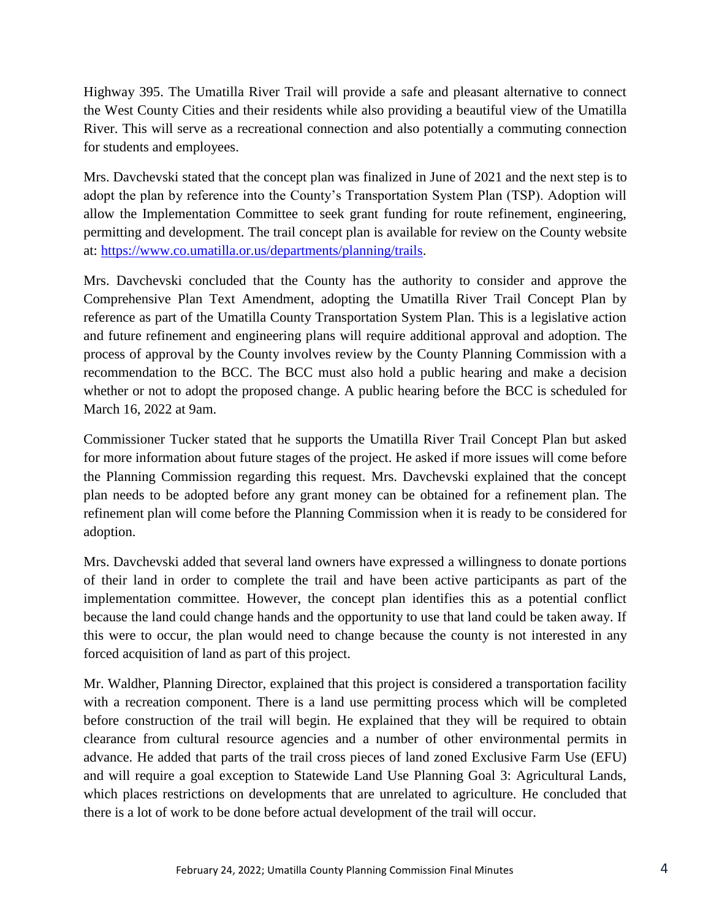Highway 395. The Umatilla River Trail will provide a safe and pleasant alternative to connect the West County Cities and their residents while also providing a beautiful view of the Umatilla River. This will serve as a recreational connection and also potentially a commuting connection for students and employees.

Mrs. Davchevski stated that the concept plan was finalized in June of 2021 and the next step is to adopt the plan by reference into the County's Transportation System Plan (TSP). Adoption will allow the Implementation Committee to seek grant funding for route refinement, engineering, permitting and development. The trail concept plan is available for review on the County website at: [https://www.co.umatilla.or.us/departments/planning/trails.](https://www.co.umatilla.or.us/departments/planning/trails)

Mrs. Davchevski concluded that the County has the authority to consider and approve the Comprehensive Plan Text Amendment, adopting the Umatilla River Trail Concept Plan by reference as part of the Umatilla County Transportation System Plan. This is a legislative action and future refinement and engineering plans will require additional approval and adoption. The process of approval by the County involves review by the County Planning Commission with a recommendation to the BCC. The BCC must also hold a public hearing and make a decision whether or not to adopt the proposed change. A public hearing before the BCC is scheduled for March 16, 2022 at 9am.

Commissioner Tucker stated that he supports the Umatilla River Trail Concept Plan but asked for more information about future stages of the project. He asked if more issues will come before the Planning Commission regarding this request. Mrs. Davchevski explained that the concept plan needs to be adopted before any grant money can be obtained for a refinement plan. The refinement plan will come before the Planning Commission when it is ready to be considered for adoption.

Mrs. Davchevski added that several land owners have expressed a willingness to donate portions of their land in order to complete the trail and have been active participants as part of the implementation committee. However, the concept plan identifies this as a potential conflict because the land could change hands and the opportunity to use that land could be taken away. If this were to occur, the plan would need to change because the county is not interested in any forced acquisition of land as part of this project.

Mr. Waldher, Planning Director, explained that this project is considered a transportation facility with a recreation component. There is a land use permitting process which will be completed before construction of the trail will begin. He explained that they will be required to obtain clearance from cultural resource agencies and a number of other environmental permits in advance. He added that parts of the trail cross pieces of land zoned Exclusive Farm Use (EFU) and will require a goal exception to Statewide Land Use Planning Goal 3: Agricultural Lands, which places restrictions on developments that are unrelated to agriculture. He concluded that there is a lot of work to be done before actual development of the trail will occur.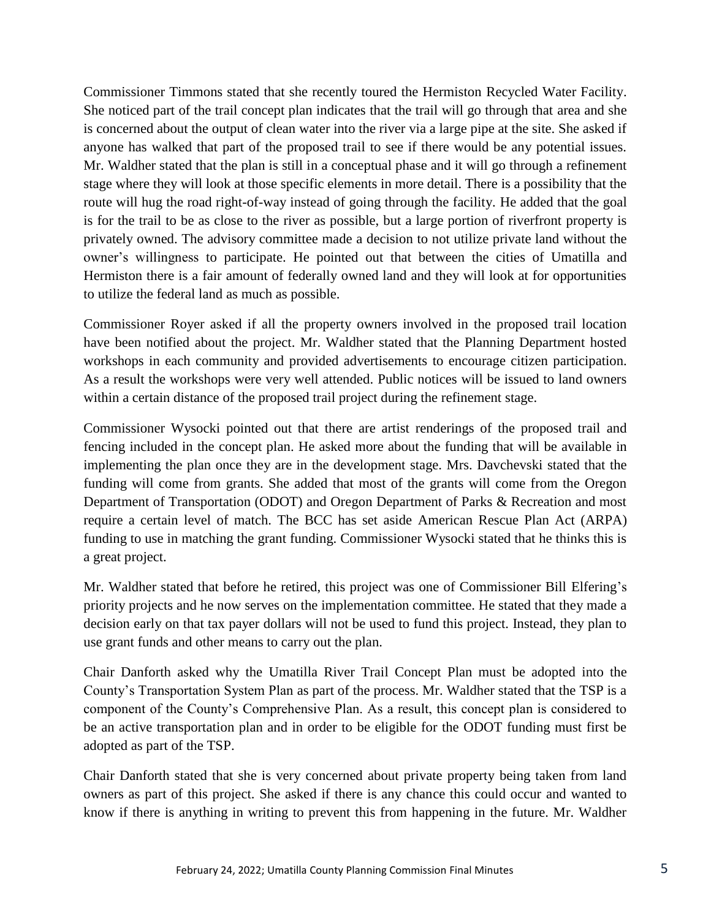Commissioner Timmons stated that she recently toured the Hermiston Recycled Water Facility. She noticed part of the trail concept plan indicates that the trail will go through that area and she is concerned about the output of clean water into the river via a large pipe at the site. She asked if anyone has walked that part of the proposed trail to see if there would be any potential issues. Mr. Waldher stated that the plan is still in a conceptual phase and it will go through a refinement stage where they will look at those specific elements in more detail. There is a possibility that the route will hug the road right-of-way instead of going through the facility. He added that the goal is for the trail to be as close to the river as possible, but a large portion of riverfront property is privately owned. The advisory committee made a decision to not utilize private land without the owner's willingness to participate. He pointed out that between the cities of Umatilla and Hermiston there is a fair amount of federally owned land and they will look at for opportunities to utilize the federal land as much as possible.

Commissioner Royer asked if all the property owners involved in the proposed trail location have been notified about the project. Mr. Waldher stated that the Planning Department hosted workshops in each community and provided advertisements to encourage citizen participation. As a result the workshops were very well attended. Public notices will be issued to land owners within a certain distance of the proposed trail project during the refinement stage.

Commissioner Wysocki pointed out that there are artist renderings of the proposed trail and fencing included in the concept plan. He asked more about the funding that will be available in implementing the plan once they are in the development stage. Mrs. Davchevski stated that the funding will come from grants. She added that most of the grants will come from the Oregon Department of Transportation (ODOT) and Oregon Department of Parks & Recreation and most require a certain level of match. The BCC has set aside American Rescue Plan Act (ARPA) funding to use in matching the grant funding. Commissioner Wysocki stated that he thinks this is a great project.

Mr. Waldher stated that before he retired, this project was one of Commissioner Bill Elfering's priority projects and he now serves on the implementation committee. He stated that they made a decision early on that tax payer dollars will not be used to fund this project. Instead, they plan to use grant funds and other means to carry out the plan.

Chair Danforth asked why the Umatilla River Trail Concept Plan must be adopted into the County's Transportation System Plan as part of the process. Mr. Waldher stated that the TSP is a component of the County's Comprehensive Plan. As a result, this concept plan is considered to be an active transportation plan and in order to be eligible for the ODOT funding must first be adopted as part of the TSP.

Chair Danforth stated that she is very concerned about private property being taken from land owners as part of this project. She asked if there is any chance this could occur and wanted to know if there is anything in writing to prevent this from happening in the future. Mr. Waldher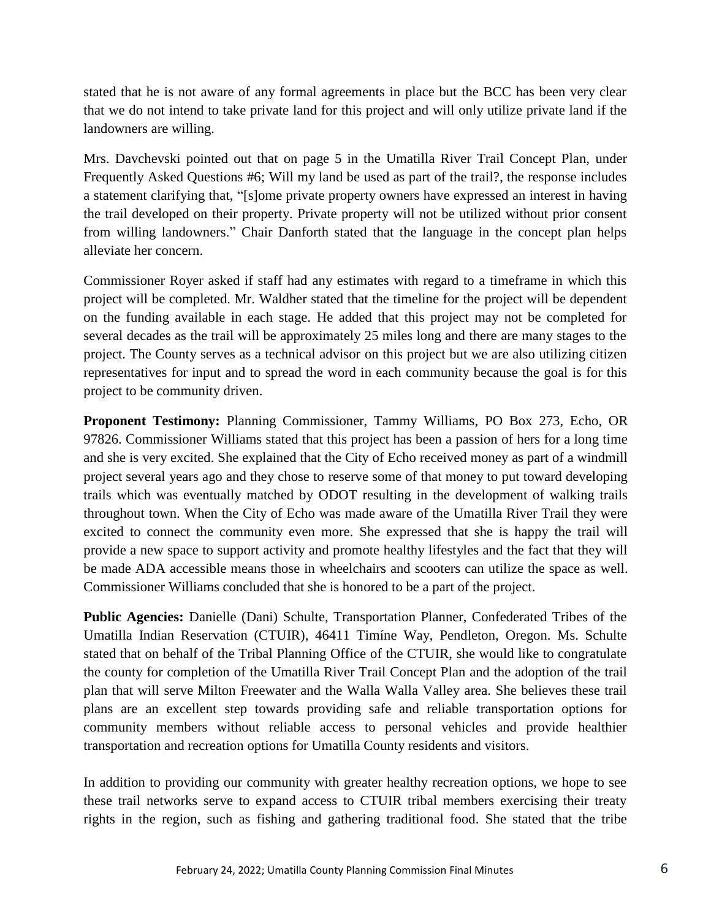stated that he is not aware of any formal agreements in place but the BCC has been very clear that we do not intend to take private land for this project and will only utilize private land if the landowners are willing.

Mrs. Davchevski pointed out that on page 5 in the Umatilla River Trail Concept Plan, under Frequently Asked Questions #6; Will my land be used as part of the trail?, the response includes a statement clarifying that, "[s]ome private property owners have expressed an interest in having the trail developed on their property. Private property will not be utilized without prior consent from willing landowners." Chair Danforth stated that the language in the concept plan helps alleviate her concern.

Commissioner Royer asked if staff had any estimates with regard to a timeframe in which this project will be completed. Mr. Waldher stated that the timeline for the project will be dependent on the funding available in each stage. He added that this project may not be completed for several decades as the trail will be approximately 25 miles long and there are many stages to the project. The County serves as a technical advisor on this project but we are also utilizing citizen representatives for input and to spread the word in each community because the goal is for this project to be community driven.

**Proponent Testimony:** Planning Commissioner, Tammy Williams, PO Box 273, Echo, OR 97826. Commissioner Williams stated that this project has been a passion of hers for a long time and she is very excited. She explained that the City of Echo received money as part of a windmill project several years ago and they chose to reserve some of that money to put toward developing trails which was eventually matched by ODOT resulting in the development of walking trails throughout town. When the City of Echo was made aware of the Umatilla River Trail they were excited to connect the community even more. She expressed that she is happy the trail will provide a new space to support activity and promote healthy lifestyles and the fact that they will be made ADA accessible means those in wheelchairs and scooters can utilize the space as well. Commissioner Williams concluded that she is honored to be a part of the project.

**Public Agencies:** Danielle (Dani) Schulte, Transportation Planner, Confederated Tribes of the Umatilla Indian Reservation (CTUIR), 46411 Timíne Way, Pendleton, Oregon. Ms. Schulte stated that on behalf of the Tribal Planning Office of the CTUIR, she would like to congratulate the county for completion of the Umatilla River Trail Concept Plan and the adoption of the trail plan that will serve Milton Freewater and the Walla Walla Valley area. She believes these trail plans are an excellent step towards providing safe and reliable transportation options for community members without reliable access to personal vehicles and provide healthier transportation and recreation options for Umatilla County residents and visitors.

In addition to providing our community with greater healthy recreation options, we hope to see these trail networks serve to expand access to CTUIR tribal members exercising their treaty rights in the region, such as fishing and gathering traditional food. She stated that the tribe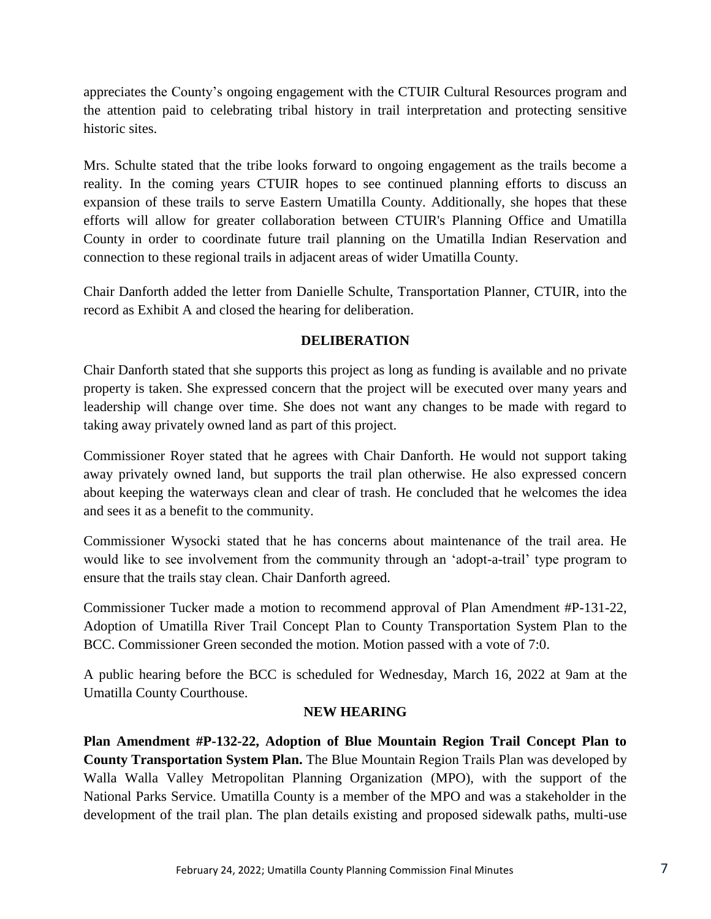appreciates the County's ongoing engagement with the CTUIR Cultural Resources program and the attention paid to celebrating tribal history in trail interpretation and protecting sensitive historic sites.

Mrs. Schulte stated that the tribe looks forward to ongoing engagement as the trails become a reality. In the coming years CTUIR hopes to see continued planning efforts to discuss an expansion of these trails to serve Eastern Umatilla County. Additionally, she hopes that these efforts will allow for greater collaboration between CTUIR's Planning Office and Umatilla County in order to coordinate future trail planning on the Umatilla Indian Reservation and connection to these regional trails in adjacent areas of wider Umatilla County.

Chair Danforth added the letter from Danielle Schulte, Transportation Planner, CTUIR, into the record as Exhibit A and closed the hearing for deliberation.

# **DELIBERATION**

Chair Danforth stated that she supports this project as long as funding is available and no private property is taken. She expressed concern that the project will be executed over many years and leadership will change over time. She does not want any changes to be made with regard to taking away privately owned land as part of this project.

Commissioner Royer stated that he agrees with Chair Danforth. He would not support taking away privately owned land, but supports the trail plan otherwise. He also expressed concern about keeping the waterways clean and clear of trash. He concluded that he welcomes the idea and sees it as a benefit to the community.

Commissioner Wysocki stated that he has concerns about maintenance of the trail area. He would like to see involvement from the community through an 'adopt-a-trail' type program to ensure that the trails stay clean. Chair Danforth agreed.

Commissioner Tucker made a motion to recommend approval of Plan Amendment #P-131-22, Adoption of Umatilla River Trail Concept Plan to County Transportation System Plan to the BCC. Commissioner Green seconded the motion. Motion passed with a vote of 7:0.

A public hearing before the BCC is scheduled for Wednesday, March 16, 2022 at 9am at the Umatilla County Courthouse.

## **NEW HEARING**

**Plan Amendment #P-132-22, Adoption of Blue Mountain Region Trail Concept Plan to County Transportation System Plan.** The Blue Mountain Region Trails Plan was developed by Walla Walla Valley Metropolitan Planning Organization (MPO), with the support of the National Parks Service. Umatilla County is a member of the MPO and was a stakeholder in the development of the trail plan. The plan details existing and proposed sidewalk paths, multi-use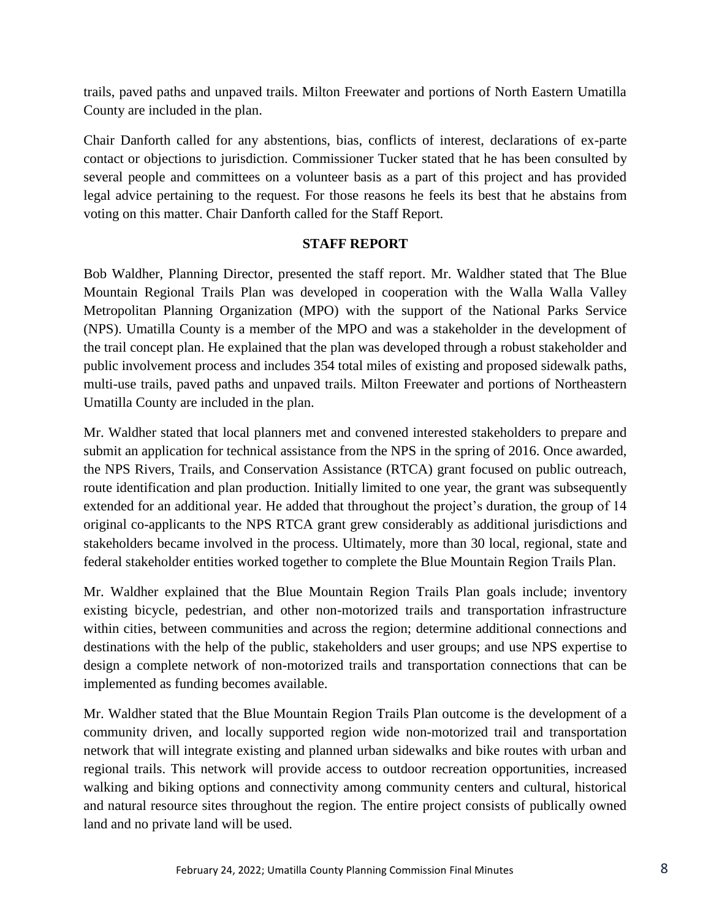trails, paved paths and unpaved trails. Milton Freewater and portions of North Eastern Umatilla County are included in the plan.

Chair Danforth called for any abstentions, bias, conflicts of interest, declarations of ex-parte contact or objections to jurisdiction. Commissioner Tucker stated that he has been consulted by several people and committees on a volunteer basis as a part of this project and has provided legal advice pertaining to the request. For those reasons he feels its best that he abstains from voting on this matter. Chair Danforth called for the Staff Report.

# **STAFF REPORT**

Bob Waldher, Planning Director, presented the staff report. Mr. Waldher stated that The Blue Mountain Regional Trails Plan was developed in cooperation with the Walla Walla Valley Metropolitan Planning Organization (MPO) with the support of the National Parks Service (NPS). Umatilla County is a member of the MPO and was a stakeholder in the development of the trail concept plan. He explained that the plan was developed through a robust stakeholder and public involvement process and includes 354 total miles of existing and proposed sidewalk paths, multi-use trails, paved paths and unpaved trails. Milton Freewater and portions of Northeastern Umatilla County are included in the plan.

Mr. Waldher stated that local planners met and convened interested stakeholders to prepare and submit an application for technical assistance from the NPS in the spring of 2016. Once awarded, the NPS Rivers, Trails, and Conservation Assistance (RTCA) grant focused on public outreach, route identification and plan production. Initially limited to one year, the grant was subsequently extended for an additional year. He added that throughout the project's duration, the group of 14 original co-applicants to the NPS RTCA grant grew considerably as additional jurisdictions and stakeholders became involved in the process. Ultimately, more than 30 local, regional, state and federal stakeholder entities worked together to complete the Blue Mountain Region Trails Plan.

Mr. Waldher explained that the Blue Mountain Region Trails Plan goals include; inventory existing bicycle, pedestrian, and other non-motorized trails and transportation infrastructure within cities, between communities and across the region; determine additional connections and destinations with the help of the public, stakeholders and user groups; and use NPS expertise to design a complete network of non-motorized trails and transportation connections that can be implemented as funding becomes available.

Mr. Waldher stated that the Blue Mountain Region Trails Plan outcome is the development of a community driven, and locally supported region wide non-motorized trail and transportation network that will integrate existing and planned urban sidewalks and bike routes with urban and regional trails. This network will provide access to outdoor recreation opportunities, increased walking and biking options and connectivity among community centers and cultural, historical and natural resource sites throughout the region. The entire project consists of publically owned land and no private land will be used.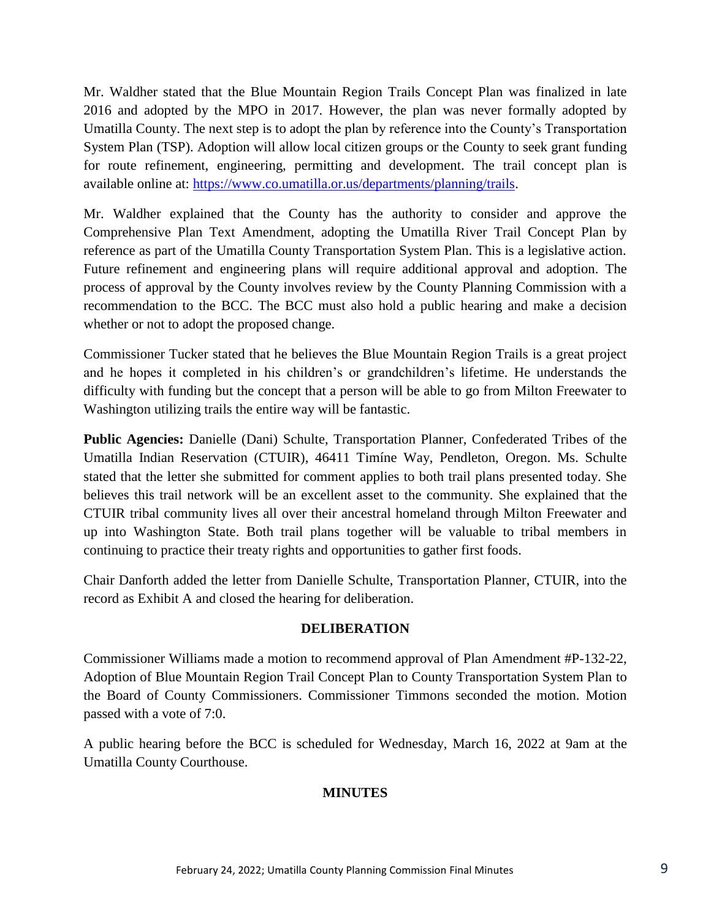Mr. Waldher stated that the Blue Mountain Region Trails Concept Plan was finalized in late 2016 and adopted by the MPO in 2017. However, the plan was never formally adopted by Umatilla County. The next step is to adopt the plan by reference into the County's Transportation System Plan (TSP). Adoption will allow local citizen groups or the County to seek grant funding for route refinement, engineering, permitting and development. The trail concept plan is available online at: [https://www.co.umatilla.or.us/departments/planning/trails.](https://www.co.umatilla.or.us/departments/planning/trails)

Mr. Waldher explained that the County has the authority to consider and approve the Comprehensive Plan Text Amendment, adopting the Umatilla River Trail Concept Plan by reference as part of the Umatilla County Transportation System Plan. This is a legislative action. Future refinement and engineering plans will require additional approval and adoption. The process of approval by the County involves review by the County Planning Commission with a recommendation to the BCC. The BCC must also hold a public hearing and make a decision whether or not to adopt the proposed change.

Commissioner Tucker stated that he believes the Blue Mountain Region Trails is a great project and he hopes it completed in his children's or grandchildren's lifetime. He understands the difficulty with funding but the concept that a person will be able to go from Milton Freewater to Washington utilizing trails the entire way will be fantastic.

**Public Agencies:** Danielle (Dani) Schulte, Transportation Planner, Confederated Tribes of the Umatilla Indian Reservation (CTUIR), 46411 Timíne Way, Pendleton, Oregon. Ms. Schulte stated that the letter she submitted for comment applies to both trail plans presented today. She believes this trail network will be an excellent asset to the community. She explained that the CTUIR tribal community lives all over their ancestral homeland through Milton Freewater and up into Washington State. Both trail plans together will be valuable to tribal members in continuing to practice their treaty rights and opportunities to gather first foods.

Chair Danforth added the letter from Danielle Schulte, Transportation Planner, CTUIR, into the record as Exhibit A and closed the hearing for deliberation.

# **DELIBERATION**

Commissioner Williams made a motion to recommend approval of Plan Amendment #P-132-22, Adoption of Blue Mountain Region Trail Concept Plan to County Transportation System Plan to the Board of County Commissioners. Commissioner Timmons seconded the motion. Motion passed with a vote of 7:0.

A public hearing before the BCC is scheduled for Wednesday, March 16, 2022 at 9am at the Umatilla County Courthouse.

# **MINUTES**